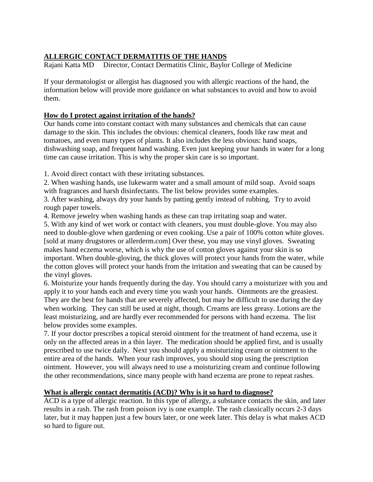# **ALLERGIC CONTACT DERMATITIS OF THE HANDS**

Rajani Katta MD Director, Contact Dermatitis Clinic, Baylor College of Medicine

If your dermatologist or allergist has diagnosed you with allergic reactions of the hand, the information below will provide more guidance on what substances to avoid and how to avoid them.

## **How do I protect against irritation of the hands?**

Our hands come into constant contact with many substances and chemicals that can cause damage to the skin. This includes the obvious: chemical cleaners, foods like raw meat and tomatoes, and even many types of plants. It also includes the less obvious: hand soaps, dishwashing soap, and frequent hand washing. Even just keeping your hands in water for a long time can cause irritation. This is why the proper skin care is so important.

1. Avoid direct contact with these irritating substances.

2. When washing hands, use lukewarm water and a small amount of mild soap. Avoid soaps with fragrances and harsh disinfectants. The list below provides some examples.

3. After washing, always dry your hands by patting gently instead of rubbing. Try to avoid rough paper towels.

4. Remove jewelry when washing hands as these can trap irritating soap and water.

5. With any kind of wet work or contact with cleaners, you must double-glove. You may also need to double-glove when gardening or even cooking. Use a pair of 100% cotton white gloves. [sold at many drugstores or allerderm.com] Over these, you may use vinyl gloves. Sweating makes hand eczema worse, which is why the use of cotton gloves against your skin is so important. When double-gloving, the thick gloves will protect your hands from the water, while the cotton gloves will protect your hands from the irritation and sweating that can be caused by the vinyl gloves.

6. Moisturize your hands frequently during the day. You should carry a moisturizer with you and apply it to your hands each and every time you wash your hands. Ointments are the greasiest. They are the best for hands that are severely affected, but may be difficult to use during the day when working. They can still be used at night, though. Creams are less greasy. Lotions are the least moisturizing, and are hardly ever recommended for persons with hand eczema. The list below provides some examples.

7. If your doctor prescribes a topical steroid ointment for the treatment of hand eczema, use it only on the affected areas in a thin layer. The medication should be applied first, and is usually prescribed to use twice daily. Next you should apply a moisturizing cream or ointment to the entire area of the hands. When your rash improves, you should stop using the prescription ointment. However, you will always need to use a moisturizing cream and continue following the other recommendations, since many people with hand eczema are prone to repeat rashes.

# **What is allergic contact dermatitis (ACD)? Why is it so hard to diagnose?**

ACD is a type of allergic reaction. In this type of allergy, a substance contacts the skin, and later results in a rash. The rash from poison ivy is one example. The rash classically occurs 2-3 days later, but it may happen just a few hours later, or one week later. This delay is what makes ACD so hard to figure out.